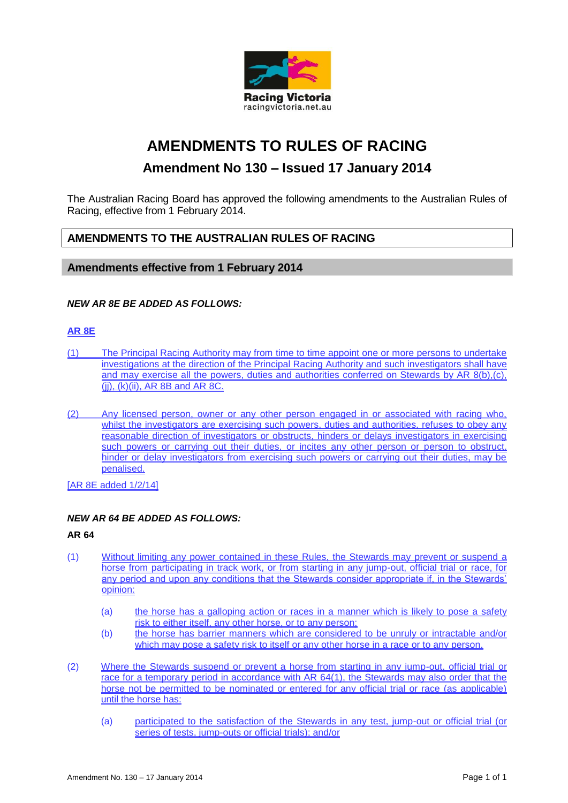

# **AMENDMENTS TO RULES OF RACING**

## **Amendment No 130 – Issued 17 January 2014**

The Australian Racing Board has approved the following amendments to the Australian Rules of Racing, effective from 1 February 2014.

### **AMENDMENTS TO THE AUSTRALIAN RULES OF RACING**

#### **Amendments effective from 1 February 2014**

#### *NEW AR 8E BE ADDED AS FOLLOWS:*

#### **AR 8E**

- (1) The Principal Racing Authority may from time to time appoint one or more persons to undertake investigations at the direction of the Principal Racing Authority and such investigators shall have and may exercise all the powers, duties and authorities conferred on Stewards by AR 8(b),(c), (jj), (k)(ii), AR 8B and AR 8C.
- (2) Any licensed person, owner or any other person engaged in or associated with racing who, whilst the investigators are exercising such powers, duties and authorities, refuses to obey any reasonable direction of investigators or obstructs, hinders or delays investigators in exercising such powers or carrying out their duties, or incites any other person or person to obstruct, hinder or delay investigators from exercising such powers or carrying out their duties, may be penalised.

[AR 8E added 1/2/14]

#### *NEW AR 64 BE ADDED AS FOLLOWS:*

#### **AR 64**

- (1) Without limiting any power contained in these Rules, the Stewards may prevent or suspend a horse from participating in track work, or from starting in any jump-out, official trial or race, for any period and upon any conditions that the Stewards consider appropriate if, in the Stewards' opinion:
	- (a) the horse has a galloping action or races in a manner which is likely to pose a safety risk to either itself, any other horse, or to any person;
	- (b) the horse has barrier manners which are considered to be unruly or intractable and/or which may pose a safety risk to itself or any other horse in a race or to any person.
- (2) Where the Stewards suspend or prevent a horse from starting in any jump-out, official trial or race for a temporary period in accordance with AR 64(1), the Stewards may also order that the horse not be permitted to be nominated or entered for any official trial or race (as applicable) until the horse has:
	- (a) participated to the satisfaction of the Stewards in any test, jump-out or official trial (or series of tests, jump-outs or official trials); and/or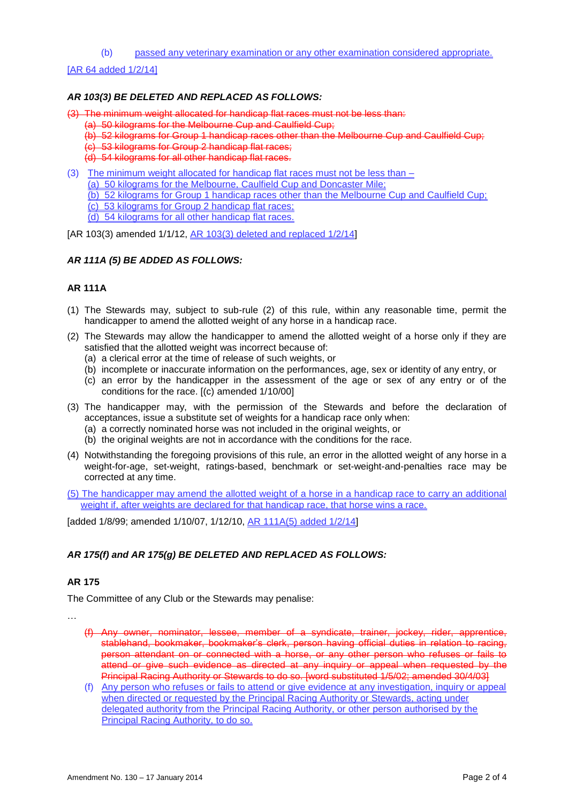(b) passed any veterinary examination or any other examination considered appropriate.

[AR 64 added 1/2/14]

#### *AR 103(3) BE DELETED AND REPLACED AS FOLLOWS:*

(3) The minimum weight allocated for handicap flat races must not be less than:

- (a) 50 kilograms for the Melbourne Cup and Caulfield Cup;
- (b) 52 kilograms for Group 1 handicap races other than the Melbourne Cup and Caulfield Cup;
- (c) 53 kilograms for Group 2 handicap flat races;
- (d) 54 kilograms for all other handicap flat races.
- (3) The minimum weight allocated for handicap flat races must not be less than  $-$

(a) 50 kilograms for the Melbourne, Caulfield Cup and Doncaster Mile;

- (b) 52 kilograms for Group 1 handicap races other than the Melbourne Cup and Caulfield Cup;
- (c) 53 kilograms for Group 2 handicap flat races;
- (d) 54 kilograms for all other handicap flat races.
- [AR 103(3) amended 1/1/12, AR 103(3) deleted and replaced 1/2/14]

#### *AR 111A (5) BE ADDED AS FOLLOWS:*

#### **AR 111A**

- (1) The Stewards may, subject to sub-rule (2) of this rule, within any reasonable time, permit the handicapper to amend the allotted weight of any horse in a handicap race.
- (2) The Stewards may allow the handicapper to amend the allotted weight of a horse only if they are satisfied that the allotted weight was incorrect because of:
	- (a) a clerical error at the time of release of such weights, or
	- (b) incomplete or inaccurate information on the performances, age, sex or identity of any entry, or
	- (c) an error by the handicapper in the assessment of the age or sex of any entry or of the conditions for the race. [(c) amended 1/10/00]
- (3) The handicapper may, with the permission of the Stewards and before the declaration of acceptances, issue a substitute set of weights for a handicap race only when:
	- (a) a correctly nominated horse was not included in the original weights, or
	- (b) the original weights are not in accordance with the conditions for the race.
- (4) Notwithstanding the foregoing provisions of this rule, an error in the allotted weight of any horse in a weight-for-age, set-weight, ratings-based, benchmark or set-weight-and-penalties race may be corrected at any time.

(5) The handicapper may amend the allotted weight of a horse in a handicap race to carry an additional weight if, after weights are declared for that handicap race, that horse wins a race.

[added 1/8/99; amended 1/10/07, 1/12/10, AR 111A(5) added 1/2/14]

#### *AR 175(f) and AR 175(g) BE DELETED AND REPLACED AS FOLLOWS:*

#### **AR 175**

The Committee of any Club or the Stewards may penalise:

- …
	- (f) Any owner, nominator, lessee, member of a syndicate, trainer, jockey, rider, apprentice, stablehand, bookmaker, bookmaker's clerk, person having official duties in relation to racing, person attendant on or connected with a horse, or any other person who refuses or fails to attend or give such evidence as directed at any inquiry or appeal when requested by the Principal Racing Authority or Stewards to do so. [word substituted 1/5/02; amended 30/4/03]
	- (f) Any person who refuses or fails to attend or give evidence at any investigation, inquiry or appeal when directed or requested by the Principal Racing Authority or Stewards, acting under delegated authority from the Principal Racing Authority, or other person authorised by the Principal Racing Authority, to do so.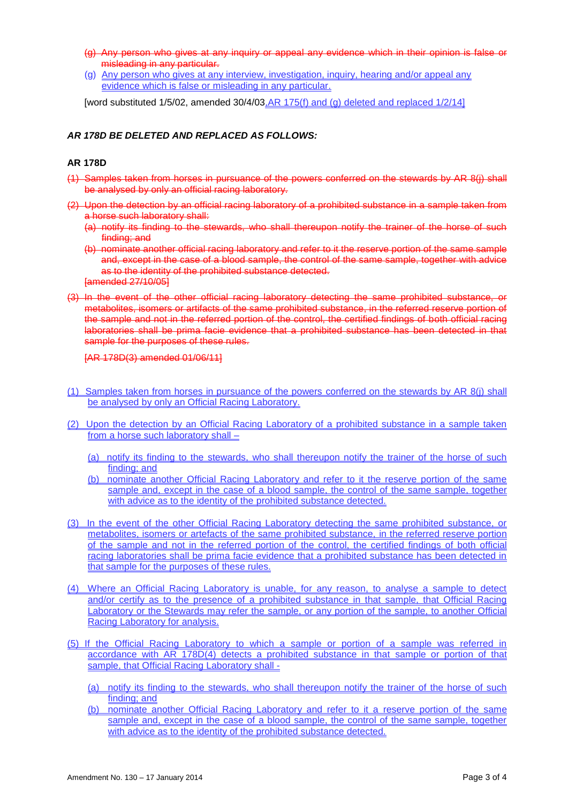- (g) Any person who gives at any inquiry or appeal any evidence which in their opinion is false or misleading in any particular.
- (g) Any person who gives at any interview, investigation, inquiry, hearing and/or appeal any evidence which is false or misleading in any particular.

[word substituted 1/5/02, amended 30/4/03,  $AR$  175(f) and (g) deleted and replaced 1/2/14]

#### *AR 178D BE DELETED AND REPLACED AS FOLLOWS:*

#### **AR 178D**

- (1) Samples taken from horses in pursuance of the powers conferred on the stewards by AR 8(j) shall be analysed by only an official racing laboratory.
- (2) Upon the detection by an official racing laboratory of a prohibited substance in a sample taken from a horse such laboratory shall:
	- (a) notify its finding to the stewards, who shall thereupon notify the trainer of the horse of such finding; and
	- (b) nominate another official racing laboratory and refer to it the reserve portion of the same sample and, except in the case of a blood sample, the control of the same sample, together with advice as to the identity of the prohibited substance detected. [amended 27/10/05]
- (3) In the event of the other official racing laboratory detecting the same prohibited substance, or metabolites, isomers or artifacts of the same prohibited substance, in the referred reserve portion of the sample and not in the referred portion of the control, the certified findings of both official racing laboratories shall be prima facie evidence that a prohibited substance has been detected in that sample for the purposes of these rules.

[AR 178D(3) amended 01/06/11]

- (1) Samples taken from horses in pursuance of the powers conferred on the stewards by AR 8(j) shall be analysed by only an Official Racing Laboratory.
- (2) Upon the detection by an Official Racing Laboratory of a prohibited substance in a sample taken from a horse such laboratory shall –
	- (a) notify its finding to the stewards, who shall thereupon notify the trainer of the horse of such finding; and
	- (b) nominate another Official Racing Laboratory and refer to it the reserve portion of the same sample and, except in the case of a blood sample, the control of the same sample, together with advice as to the identity of the prohibited substance detected.
- (3) In the event of the other Official Racing Laboratory detecting the same prohibited substance, or metabolites, isomers or artefacts of the same prohibited substance, in the referred reserve portion of the sample and not in the referred portion of the control, the certified findings of both official racing laboratories shall be prima facie evidence that a prohibited substance has been detected in that sample for the purposes of these rules.
- (4) Where an Official Racing Laboratory is unable, for any reason, to analyse a sample to detect and/or certify as to the presence of a prohibited substance in that sample, that Official Racing Laboratory or the Stewards may refer the sample, or any portion of the sample, to another Official Racing Laboratory for analysis.
- (5) If the Official Racing Laboratory to which a sample or portion of a sample was referred in accordance with AR 178D(4) detects a prohibited substance in that sample or portion of that sample, that Official Racing Laboratory shall -
	- (a) notify its finding to the stewards, who shall thereupon notify the trainer of the horse of such finding; and
	- (b) nominate another Official Racing Laboratory and refer to it a reserve portion of the same sample and, except in the case of a blood sample, the control of the same sample, together with advice as to the identity of the prohibited substance detected.